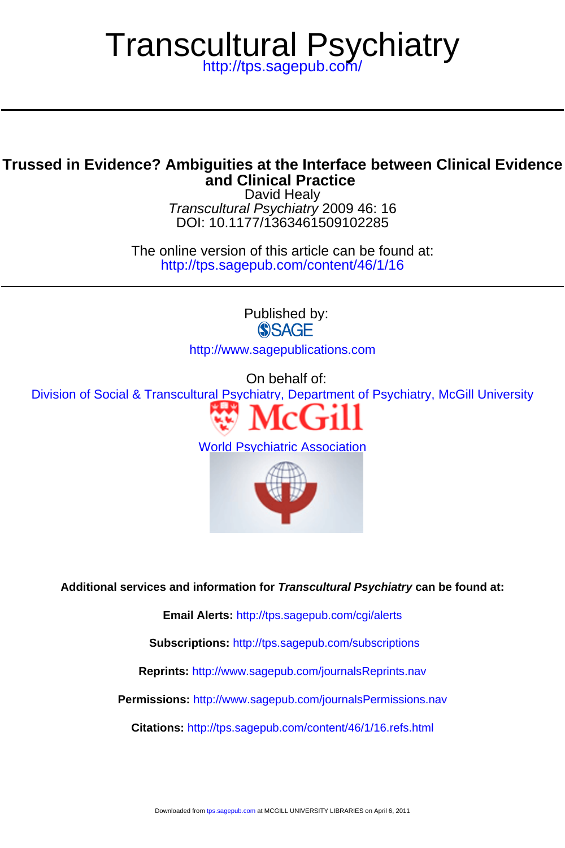# Transcultural Psychiatry

<http://tps.sagepub.com/>

**and Clinical Practice Trussed in Evidence? Ambiguities at the Interface between Clinical Evidence**

DOI: 10.1177/1363461509102285 Transcultural Psychiatry 2009 46: 16 David Healy

<http://tps.sagepub.com/content/46/1/16> The online version of this article can be found at:

> Published by: **SSAGE**

<http://www.sagepublications.com>

On behalf of:

[Division of Social & Transcultural Psychiatry, Department of Psychiatry, McGill University](http://www.mcgill.ca/tcpsych/)



[World Psychiatric Association](http://www.wpanet.org/detail.php?section_id=11&content_id=574)



**Additional services and information for Transcultural Psychiatry can be found at:**

**Email Alerts:** <http://tps.sagepub.com/cgi/alerts>

**Subscriptions:** <http://tps.sagepub.com/subscriptions>

**Reprints:** <http://www.sagepub.com/journalsReprints.nav>

**Permissions:** <http://www.sagepub.com/journalsPermissions.nav>

**Citations:** <http://tps.sagepub.com/content/46/1/16.refs.html>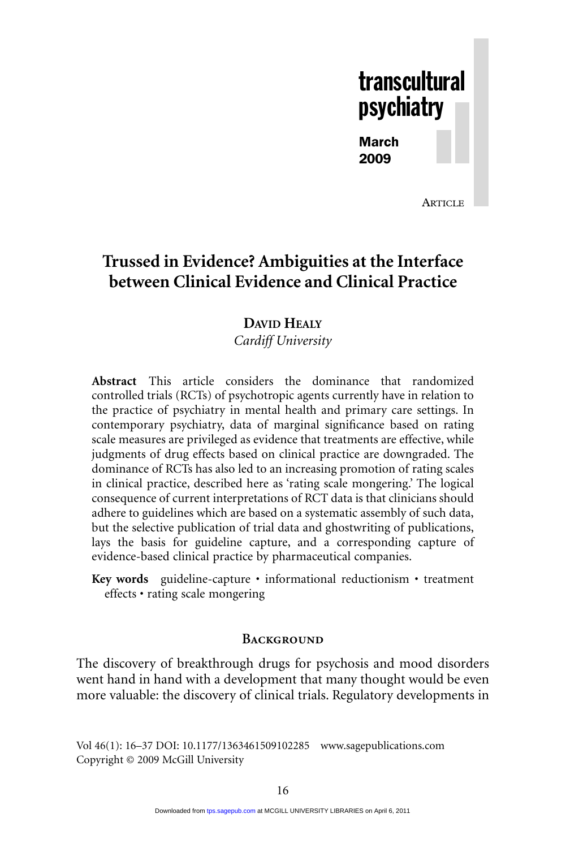

ARTICLE

# **Trussed in Evidence? Ambiguities at the Interface between Clinical Evidence and Clinical Practice**

# **DAVID HEALY**

*Cardiff University*

**Abstract** This article considers the dominance that randomized controlled trials (RCTs) of psychotropic agents currently have in relation to the practice of psychiatry in mental health and primary care settings. In contemporary psychiatry, data of marginal significance based on rating scale measures are privileged as evidence that treatments are effective, while judgments of drug effects based on clinical practice are downgraded. The dominance of RCTs has also led to an increasing promotion of rating scales in clinical practice, described here as 'rating scale mongering.' The logical consequence of current interpretations of RCT data is that clinicians should adhere to guidelines which are based on a systematic assembly of such data, but the selective publication of trial data and ghostwriting of publications, lays the basis for guideline capture, and a corresponding capture of evidence-based clinical practice by pharmaceutical companies.

**Key words** guideline-capture • informational reductionism • treatment effects • rating scale mongering

#### **BACKGROUND**

The discovery of breakthrough drugs for psychosis and mood disorders went hand in hand with a development that many thought would be even more valuable: the discovery of clinical trials. Regulatory developments in

Vol 46(1): 16–37 DOI: 10.1177/1363461509102285 www.sagepublications.com Copyright © 2009 McGill University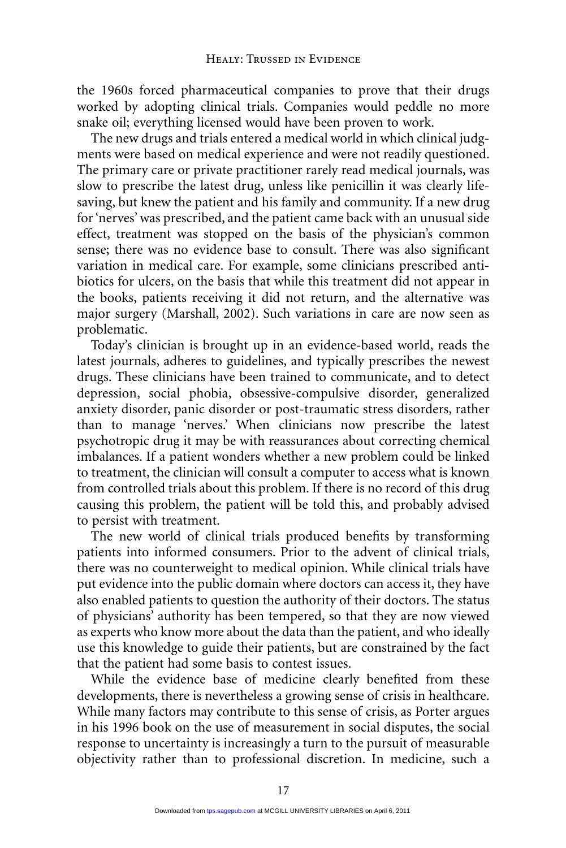the 1960s forced pharmaceutical companies to prove that their drugs worked by adopting clinical trials. Companies would peddle no more snake oil; everything licensed would have been proven to work.

The new drugs and trials entered a medical world in which clinical judgments were based on medical experience and were not readily questioned. The primary care or private practitioner rarely read medical journals, was slow to prescribe the latest drug, unless like penicillin it was clearly lifesaving, but knew the patient and his family and community. If a new drug for 'nerves' was prescribed, and the patient came back with an unusual side effect, treatment was stopped on the basis of the physician's common sense; there was no evidence base to consult. There was also significant variation in medical care. For example, some clinicians prescribed antibiotics for ulcers, on the basis that while this treatment did not appear in the books, patients receiving it did not return, and the alternative was major surgery (Marshall, 2002). Such variations in care are now seen as problematic.

Today's clinician is brought up in an evidence-based world, reads the latest journals, adheres to guidelines, and typically prescribes the newest drugs. These clinicians have been trained to communicate, and to detect depression, social phobia, obsessive-compulsive disorder, generalized anxiety disorder, panic disorder or post-traumatic stress disorders, rather than to manage 'nerves.' When clinicians now prescribe the latest psychotropic drug it may be with reassurances about correcting chemical imbalances. If a patient wonders whether a new problem could be linked to treatment, the clinician will consult a computer to access what is known from controlled trials about this problem. If there is no record of this drug causing this problem, the patient will be told this, and probably advised to persist with treatment.

The new world of clinical trials produced benefits by transforming patients into informed consumers. Prior to the advent of clinical trials, there was no counterweight to medical opinion. While clinical trials have put evidence into the public domain where doctors can access it, they have also enabled patients to question the authority of their doctors. The status of physicians' authority has been tempered, so that they are now viewed as experts who know more about the data than the patient, and who ideally use this knowledge to guide their patients, but are constrained by the fact that the patient had some basis to contest issues.

While the evidence base of medicine clearly benefited from these developments, there is nevertheless a growing sense of crisis in healthcare. While many factors may contribute to this sense of crisis, as Porter argues in his 1996 book on the use of measurement in social disputes, the social response to uncertainty is increasingly a turn to the pursuit of measurable objectivity rather than to professional discretion. In medicine, such a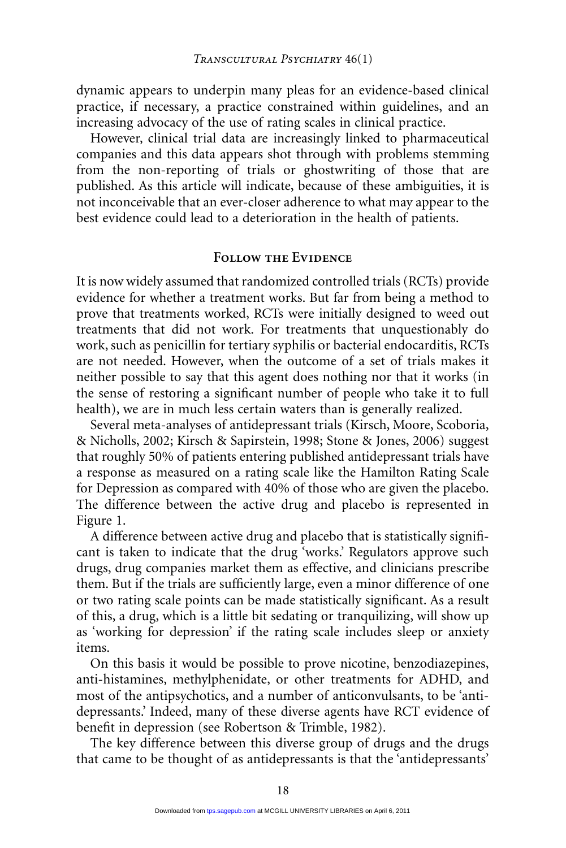dynamic appears to underpin many pleas for an evidence-based clinical practice, if necessary, a practice constrained within guidelines, and an increasing advocacy of the use of rating scales in clinical practice.

However, clinical trial data are increasingly linked to pharmaceutical companies and this data appears shot through with problems stemming from the non-reporting of trials or ghostwriting of those that are published. As this article will indicate, because of these ambiguities, it is not inconceivable that an ever-closer adherence to what may appear to the best evidence could lead to a deterioration in the health of patients.

#### **Follow the Evidence**

It is now widely assumed that randomized controlled trials (RCTs) provide evidence for whether a treatment works. But far from being a method to prove that treatments worked, RCTs were initially designed to weed out treatments that did not work. For treatments that unquestionably do work, such as penicillin for tertiary syphilis or bacterial endocarditis, RCTs are not needed. However, when the outcome of a set of trials makes it neither possible to say that this agent does nothing nor that it works (in the sense of restoring a significant number of people who take it to full health), we are in much less certain waters than is generally realized.

Several meta-analyses of antidepressant trials (Kirsch, Moore, Scoboria, & Nicholls, 2002; Kirsch & Sapirstein, 1998; Stone & Jones, 2006) suggest that roughly 50% of patients entering published antidepressant trials have a response as measured on a rating scale like the Hamilton Rating Scale for Depression as compared with 40% of those who are given the placebo. The difference between the active drug and placebo is represented in Figure 1.

A difference between active drug and placebo that is statistically significant is taken to indicate that the drug 'works.' Regulators approve such drugs, drug companies market them as effective, and clinicians prescribe them. But if the trials are sufficiently large, even a minor difference of one or two rating scale points can be made statistically significant. As a result of this, a drug, which is a little bit sedating or tranquilizing, will show up as 'working for depression' if the rating scale includes sleep or anxiety items.

On this basis it would be possible to prove nicotine, benzodiazepines, anti-histamines, methylphenidate, or other treatments for ADHD, and most of the antipsychotics, and a number of anticonvulsants, to be 'antidepressants.' Indeed, many of these diverse agents have RCT evidence of benefit in depression (see Robertson & Trimble, 1982).

The key difference between this diverse group of drugs and the drugs that came to be thought of as antidepressants is that the 'antidepressants'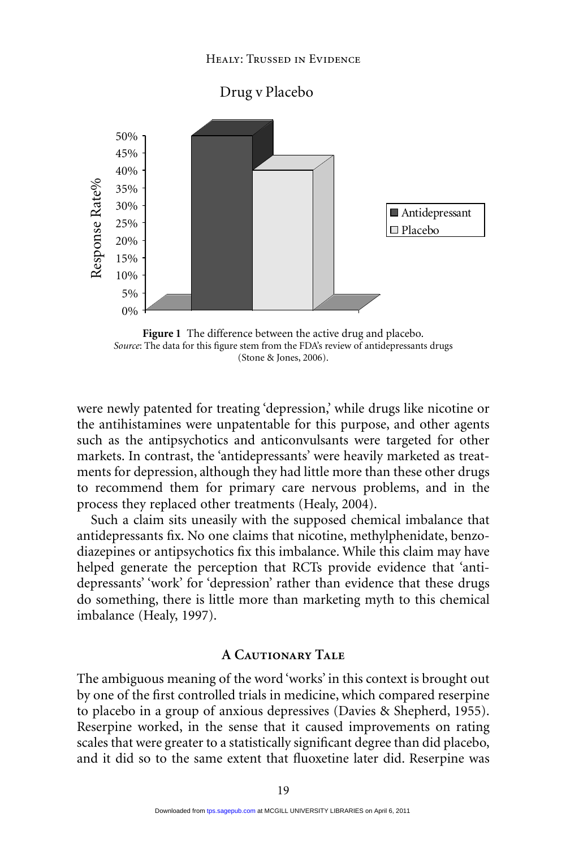#### Healy: Trussed in Evidence



**Figure 1** The difference between the active drug and placebo. *Source*: The data for this figure stem from the FDA's review of antidepressants drugs (Stone & Jones, 2006).

were newly patented for treating 'depression,' while drugs like nicotine or the antihistamines were unpatentable for this purpose, and other agents such as the antipsychotics and anticonvulsants were targeted for other markets. In contrast, the 'antidepressants' were heavily marketed as treatments for depression, although they had little more than these other drugs to recommend them for primary care nervous problems, and in the process they replaced other treatments (Healy, 2004).

Such a claim sits uneasily with the supposed chemical imbalance that antidepressants fix. No one claims that nicotine, methylphenidate, benzodiazepines or antipsychotics fix this imbalance. While this claim may have helped generate the perception that RCTs provide evidence that 'antidepressants' 'work' for 'depression' rather than evidence that these drugs do something, there is little more than marketing myth to this chemical imbalance (Healy, 1997).

# **A Cautionary Tale**

The ambiguous meaning of the word 'works' in this context is brought out by one of the first controlled trials in medicine, which compared reserpine to placebo in a group of anxious depressives (Davies & Shepherd, 1955). Reserpine worked, in the sense that it caused improvements on rating scales that were greater to a statistically significant degree than did placebo, and it did so to the same extent that fluoxetine later did. Reserpine was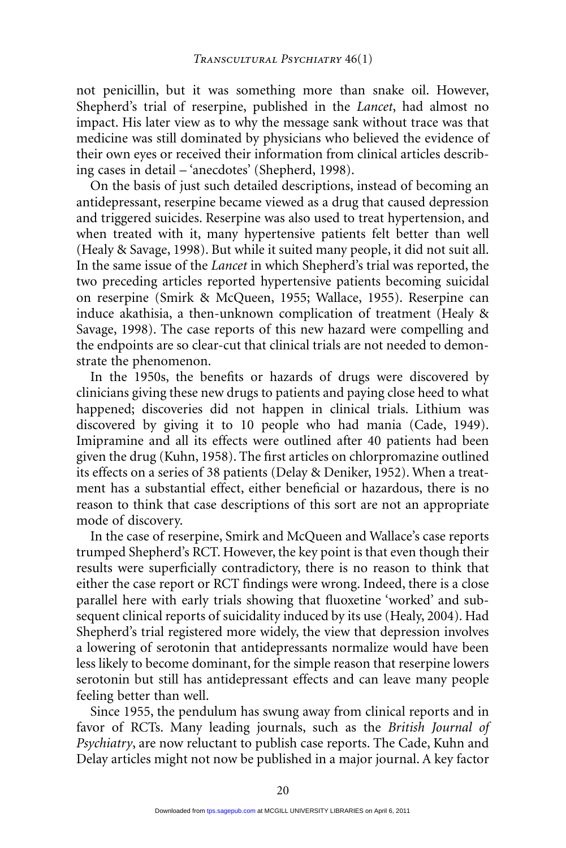not penicillin, but it was something more than snake oil. However, Shepherd's trial of reserpine, published in the *Lancet*, had almost no impact. His later view as to why the message sank without trace was that medicine was still dominated by physicians who believed the evidence of their own eyes or received their information from clinical articles describing cases in detail – 'anecdotes' (Shepherd, 1998).

On the basis of just such detailed descriptions, instead of becoming an antidepressant, reserpine became viewed as a drug that caused depression and triggered suicides. Reserpine was also used to treat hypertension, and when treated with it, many hypertensive patients felt better than well (Healy & Savage, 1998). But while it suited many people, it did not suit all. In the same issue of the *Lancet* in which Shepherd's trial was reported, the two preceding articles reported hypertensive patients becoming suicidal on reserpine (Smirk & McQueen, 1955; Wallace, 1955). Reserpine can induce akathisia, a then-unknown complication of treatment (Healy & Savage, 1998). The case reports of this new hazard were compelling and the endpoints are so clear-cut that clinical trials are not needed to demonstrate the phenomenon.

In the 1950s, the benefits or hazards of drugs were discovered by clinicians giving these new drugs to patients and paying close heed to what happened; discoveries did not happen in clinical trials. Lithium was discovered by giving it to 10 people who had mania (Cade, 1949). Imipramine and all its effects were outlined after 40 patients had been given the drug (Kuhn, 1958). The first articles on chlorpromazine outlined its effects on a series of 38 patients (Delay & Deniker, 1952). When a treatment has a substantial effect, either beneficial or hazardous, there is no reason to think that case descriptions of this sort are not an appropriate mode of discovery.

In the case of reserpine, Smirk and McQueen and Wallace's case reports trumped Shepherd's RCT. However, the key point is that even though their results were superficially contradictory, there is no reason to think that either the case report or RCT findings were wrong. Indeed, there is a close parallel here with early trials showing that fluoxetine 'worked' and subsequent clinical reports of suicidality induced by its use (Healy, 2004). Had Shepherd's trial registered more widely, the view that depression involves a lowering of serotonin that antidepressants normalize would have been less likely to become dominant, for the simple reason that reserpine lowers serotonin but still has antidepressant effects and can leave many people feeling better than well.

Since 1955, the pendulum has swung away from clinical reports and in favor of RCTs. Many leading journals, such as the *British Journal of Psychiatry*, are now reluctant to publish case reports. The Cade, Kuhn and Delay articles might not now be published in a major journal. A key factor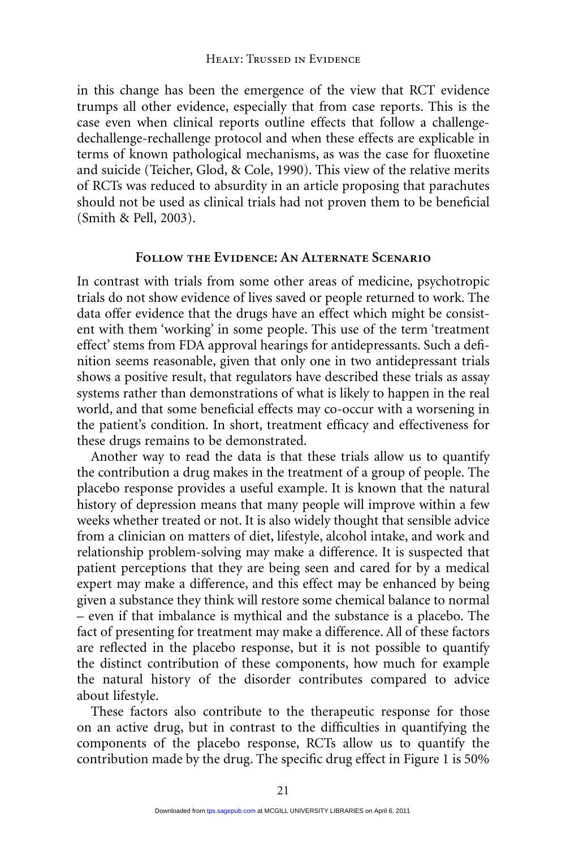in this change has been the emergence of the view that RCT evidence trumps all other evidence, especially that from case reports. This is the case even when clinical reports outline effects that follow a challengedechallenge-rechallenge protocol and when these effects are explicable in terms of known pathological mechanisms, as was the case for fluoxetine and suicide (Teicher, Glod, & Cole, 1990). This view of the relative merits of RCTs was reduced to absurdity in an article proposing that parachutes should not be used as clinical trials had not proven them to be beneficial (Smith & Pell, 2003).

# **Follow the Evidence: An Alternate Scenario**

In contrast with trials from some other areas of medicine, psychotropic trials do not show evidence of lives saved or people returned to work. The data offer evidence that the drugs have an effect which might be consistent with them 'working' in some people. This use of the term 'treatment effect' stems from FDA approval hearings for antidepressants. Such a definition seems reasonable, given that only one in two antidepressant trials shows a positive result, that regulators have described these trials as assay systems rather than demonstrations of what is likely to happen in the real world, and that some beneficial effects may co-occur with a worsening in the patient's condition. In short, treatment efficacy and effectiveness for these drugs remains to be demonstrated.

Another way to read the data is that these trials allow us to quantify the contribution a drug makes in the treatment of a group of people. The placebo response provides a useful example. It is known that the natural history of depression means that many people will improve within a few weeks whether treated or not. It is also widely thought that sensible advice from a clinician on matters of diet, lifestyle, alcohol intake, and work and relationship problem-solving may make a difference. It is suspected that patient perceptions that they are being seen and cared for by a medical expert may make a difference, and this effect may be enhanced by being given a substance they think will restore some chemical balance to normal – even if that imbalance is mythical and the substance is a placebo. The fact of presenting for treatment may make a difference. All of these factors are reflected in the placebo response, but it is not possible to quantify the distinct contribution of these components, how much for example the natural history of the disorder contributes compared to advice about lifestyle.

These factors also contribute to the therapeutic response for those on an active drug, but in contrast to the difficulties in quantifying the components of the placebo response, RCTs allow us to quantify the contribution made by the drug. The specific drug effect in Figure 1 is 50%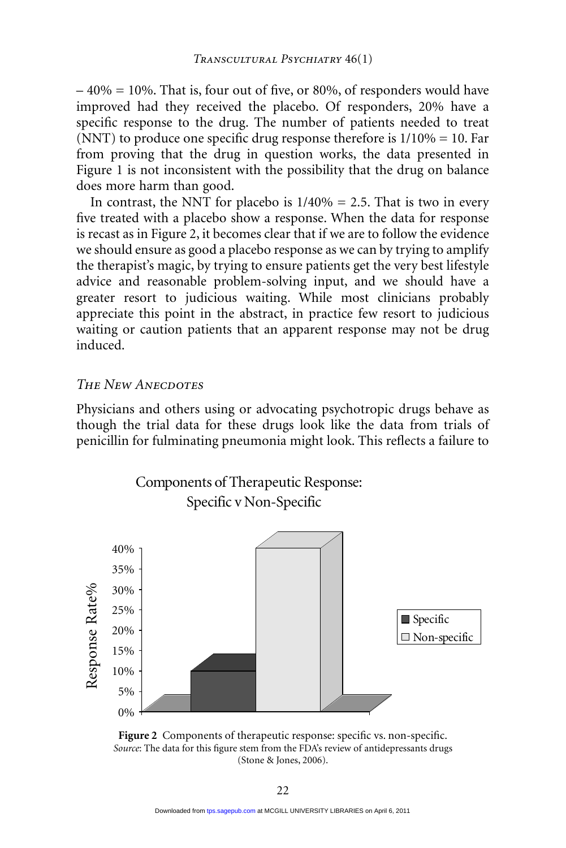$-40\% = 10\%$ . That is, four out of five, or 80%, of responders would have improved had they received the placebo. Of responders, 20% have a specific response to the drug. The number of patients needed to treat (NNT) to produce one specific drug response therefore is  $1/10\% = 10$ . Far from proving that the drug in question works, the data presented in Figure 1 is not inconsistent with the possibility that the drug on balance does more harm than good.

In contrast, the NNT for placebo is  $1/40\% = 2.5$ . That is two in every five treated with a placebo show a response. When the data for response is recast as in Figure 2, it becomes clear that if we are to follow the evidence we should ensure as good a placebo response as we can by trying to amplify the therapist's magic, by trying to ensure patients get the very best lifestyle advice and reasonable problem-solving input, and we should have a greater resort to judicious waiting. While most clinicians probably appreciate this point in the abstract, in practice few resort to judicious waiting or caution patients that an apparent response may not be drug induced.

#### *The New Anecdotes*

Physicians and others using or advocating psychotropic drugs behave as though the trial data for these drugs look like the data from trials of penicillin for fulminating pneumonia might look. This reflects a failure to

> Components of Therapeutic Response: Specific v Non-Specific



Figure 2 Components of therapeutic response: specific vs. non-specific. *Source*: The data for this figure stem from the FDA's review of antidepressants drugs (Stone & Jones, 2006).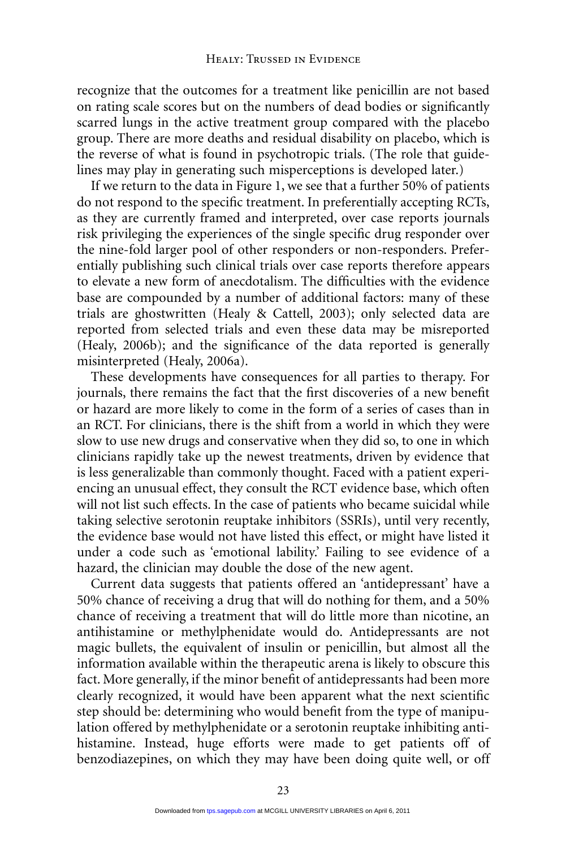recognize that the outcomes for a treatment like penicillin are not based on rating scale scores but on the numbers of dead bodies or significantly scarred lungs in the active treatment group compared with the placebo group. There are more deaths and residual disability on placebo, which is the reverse of what is found in psychotropic trials. (The role that guidelines may play in generating such misperceptions is developed later.)

If we return to the data in Figure 1, we see that a further 50% of patients do not respond to the specific treatment. In preferentially accepting RCTs, as they are currently framed and interpreted, over case reports journals risk privileging the experiences of the single specific drug responder over the nine-fold larger pool of other responders or non-responders. Preferentially publishing such clinical trials over case reports therefore appears to elevate a new form of anecdotalism. The difficulties with the evidence base are compounded by a number of additional factors: many of these trials are ghostwritten (Healy & Cattell, 2003); only selected data are reported from selected trials and even these data may be misreported (Healy, 2006b); and the significance of the data reported is generally misinterpreted (Healy, 2006a).

These developments have consequences for all parties to therapy. For journals, there remains the fact that the first discoveries of a new benefit or hazard are more likely to come in the form of a series of cases than in an RCT. For clinicians, there is the shift from a world in which they were slow to use new drugs and conservative when they did so, to one in which clinicians rapidly take up the newest treatments, driven by evidence that is less generalizable than commonly thought. Faced with a patient experiencing an unusual effect, they consult the RCT evidence base, which often will not list such effects. In the case of patients who became suicidal while taking selective serotonin reuptake inhibitors (SSRIs), until very recently, the evidence base would not have listed this effect, or might have listed it under a code such as 'emotional lability.' Failing to see evidence of a hazard, the clinician may double the dose of the new agent.

Current data suggests that patients offered an 'antidepressant' have a 50% chance of receiving a drug that will do nothing for them, and a 50% chance of receiving a treatment that will do little more than nicotine, an antihistamine or methylphenidate would do. Antidepressants are not magic bullets, the equivalent of insulin or penicillin, but almost all the information available within the therapeutic arena is likely to obscure this fact. More generally, if the minor benefit of antidepressants had been more clearly recognized, it would have been apparent what the next scientific step should be: determining who would benefit from the type of manipulation offered by methylphenidate or a serotonin reuptake inhibiting antihistamine. Instead, huge efforts were made to get patients off of benzodiazepines, on which they may have been doing quite well, or off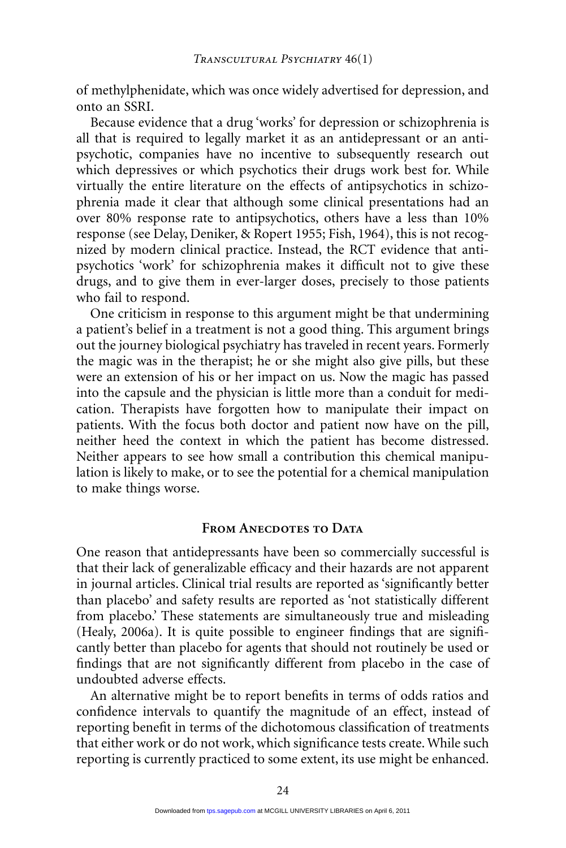of methylphenidate, which was once widely advertised for depression, and onto an SSRI.

Because evidence that a drug 'works' for depression or schizophrenia is all that is required to legally market it as an antidepressant or an antipsychotic, companies have no incentive to subsequently research out which depressives or which psychotics their drugs work best for. While virtually the entire literature on the effects of antipsychotics in schizophrenia made it clear that although some clinical presentations had an over 80% response rate to antipsychotics, others have a less than 10% response (see Delay, Deniker, & Ropert 1955; Fish, 1964), this is not recognized by modern clinical practice. Instead, the RCT evidence that antipsychotics 'work' for schizophrenia makes it difficult not to give these drugs, and to give them in ever-larger doses, precisely to those patients who fail to respond.

One criticism in response to this argument might be that undermining a patient's belief in a treatment is not a good thing. This argument brings out the journey biological psychiatry has traveled in recent years. Formerly the magic was in the therapist; he or she might also give pills, but these were an extension of his or her impact on us. Now the magic has passed into the capsule and the physician is little more than a conduit for medication. Therapists have forgotten how to manipulate their impact on patients. With the focus both doctor and patient now have on the pill, neither heed the context in which the patient has become distressed. Neither appears to see how small a contribution this chemical manipulation is likely to make, or to see the potential for a chemical manipulation to make things worse.

### **FROM ANECDOTES TO DATA**

One reason that antidepressants have been so commercially successful is that their lack of generalizable efficacy and their hazards are not apparent in journal articles. Clinical trial results are reported as 'significantly better than placebo' and safety results are reported as 'not statistically different from placebo.' These statements are simultaneously true and misleading (Healy, 2006a). It is quite possible to engineer findings that are significantly better than placebo for agents that should not routinely be used or findings that are not significantly different from placebo in the case of undoubted adverse effects.

An alternative might be to report benefits in terms of odds ratios and confidence intervals to quantify the magnitude of an effect, instead of reporting benefit in terms of the dichotomous classification of treatments that either work or do not work, which significance tests create. While such reporting is currently practiced to some extent, its use might be enhanced.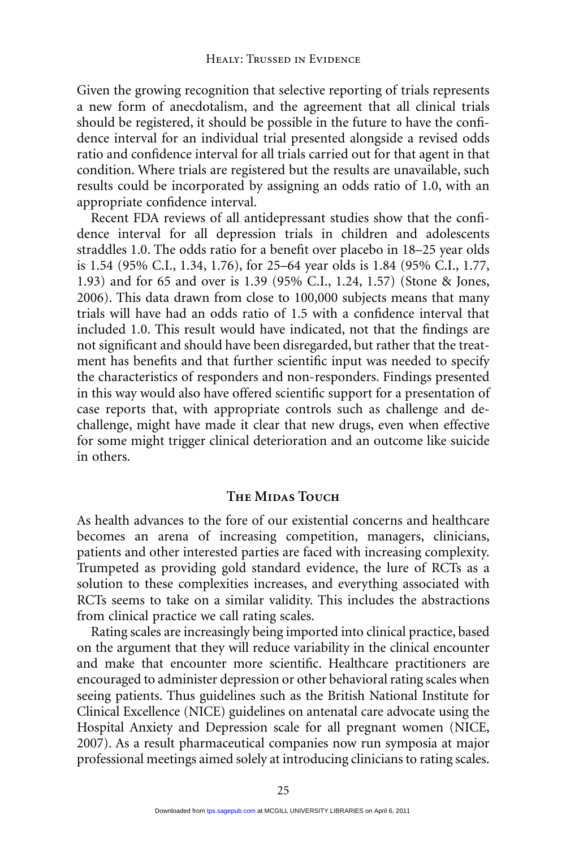Given the growing recognition that selective reporting of trials represents a new form of anecdotalism, and the agreement that all clinical trials should be registered, it should be possible in the future to have the confidence interval for an individual trial presented alongside a revised odds ratio and confidence interval for all trials carried out for that agent in that condition. Where trials are registered but the results are unavailable, such results could be incorporated by assigning an odds ratio of 1.0, with an appropriate confidence interval.

Recent FDA reviews of all antidepressant studies show that the confidence interval for all depression trials in children and adolescents straddles 1.0. The odds ratio for a benefit over placebo in 18–25 year olds is 1.54 (95% C.I., 1.34, 1.76), for 25–64 year olds is 1.84 (95% C.I., 1.77, 1.93) and for 65 and over is 1.39 (95% C.I., 1.24, 1.57) (Stone & Jones, 2006). This data drawn from close to 100,000 subjects means that many trials will have had an odds ratio of 1.5 with a confidence interval that included 1.0. This result would have indicated, not that the findings are not significant and should have been disregarded, but rather that the treatment has benefits and that further scientific input was needed to specify the characteristics of responders and non-responders. Findings presented in this way would also have offered scientific support for a presentation of case reports that, with appropriate controls such as challenge and dechallenge, might have made it clear that new drugs, even when effective for some might trigger clinical deterioration and an outcome like suicide in others.

# **The Midas Touch**

As health advances to the fore of our existential concerns and healthcare becomes an arena of increasing competition, managers, clinicians, patients and other interested parties are faced with increasing complexity. Trumpeted as providing gold standard evidence, the lure of RCTs as a solution to these complexities increases, and everything associated with RCTs seems to take on a similar validity. This includes the abstractions from clinical practice we call rating scales.

Rating scales are increasingly being imported into clinical practice, based on the argument that they will reduce variability in the clinical encounter and make that encounter more scientific. Healthcare practitioners are encouraged to administer depression or other behavioral rating scales when seeing patients. Thus guidelines such as the British National Institute for Clinical Excellence (NICE) guidelines on antenatal care advocate using the Hospital Anxiety and Depression scale for all pregnant women (NICE, 2007). As a result pharmaceutical companies now run symposia at major professional meetings aimed solely at introducing clinicians to rating scales.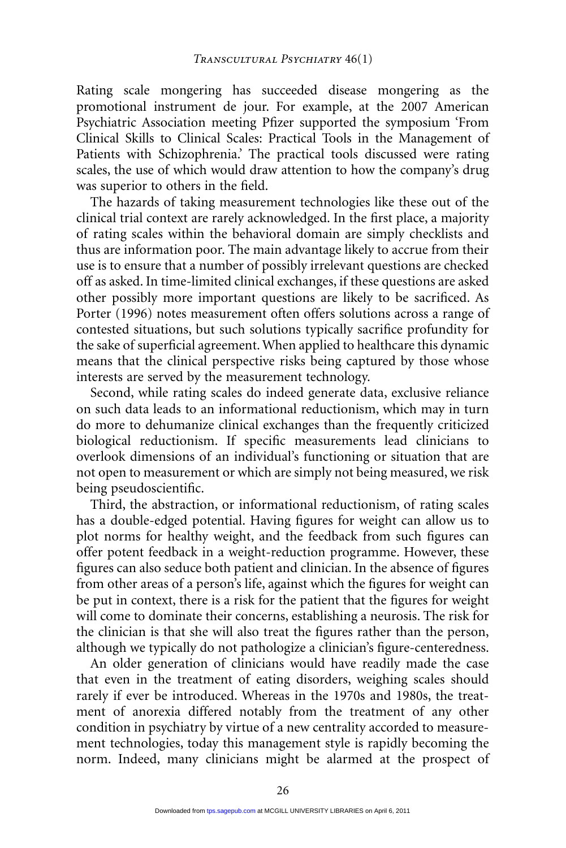Rating scale mongering has succeeded disease mongering as the promotional instrument de jour. For example, at the 2007 American Psychiatric Association meeting Pfizer supported the symposium 'From Clinical Skills to Clinical Scales: Practical Tools in the Management of Patients with Schizophrenia.' The practical tools discussed were rating scales, the use of which would draw attention to how the company's drug was superior to others in the field.

The hazards of taking measurement technologies like these out of the clinical trial context are rarely acknowledged. In the first place, a majority of rating scales within the behavioral domain are simply checklists and thus are information poor. The main advantage likely to accrue from their use is to ensure that a number of possibly irrelevant questions are checked off as asked. In time-limited clinical exchanges, if these questions are asked other possibly more important questions are likely to be sacrificed. As Porter (1996) notes measurement often offers solutions across a range of contested situations, but such solutions typically sacrifice profundity for the sake of superficial agreement. When applied to healthcare this dynamic means that the clinical perspective risks being captured by those whose interests are served by the measurement technology.

Second, while rating scales do indeed generate data, exclusive reliance on such data leads to an informational reductionism, which may in turn do more to dehumanize clinical exchanges than the frequently criticized biological reductionism. If specific measurements lead clinicians to overlook dimensions of an individual's functioning or situation that are not open to measurement or which are simply not being measured, we risk being pseudoscientific.

Third, the abstraction, or informational reductionism, of rating scales has a double-edged potential. Having figures for weight can allow us to plot norms for healthy weight, and the feedback from such figures can offer potent feedback in a weight-reduction programme. However, these figures can also seduce both patient and clinician. In the absence of figures from other areas of a person's life, against which the figures for weight can be put in context, there is a risk for the patient that the figures for weight will come to dominate their concerns, establishing a neurosis. The risk for the clinician is that she will also treat the figures rather than the person, although we typically do not pathologize a clinician's figure-centeredness.

An older generation of clinicians would have readily made the case that even in the treatment of eating disorders, weighing scales should rarely if ever be introduced. Whereas in the 1970s and 1980s, the treatment of anorexia differed notably from the treatment of any other condition in psychiatry by virtue of a new centrality accorded to measurement technologies, today this management style is rapidly becoming the norm. Indeed, many clinicians might be alarmed at the prospect of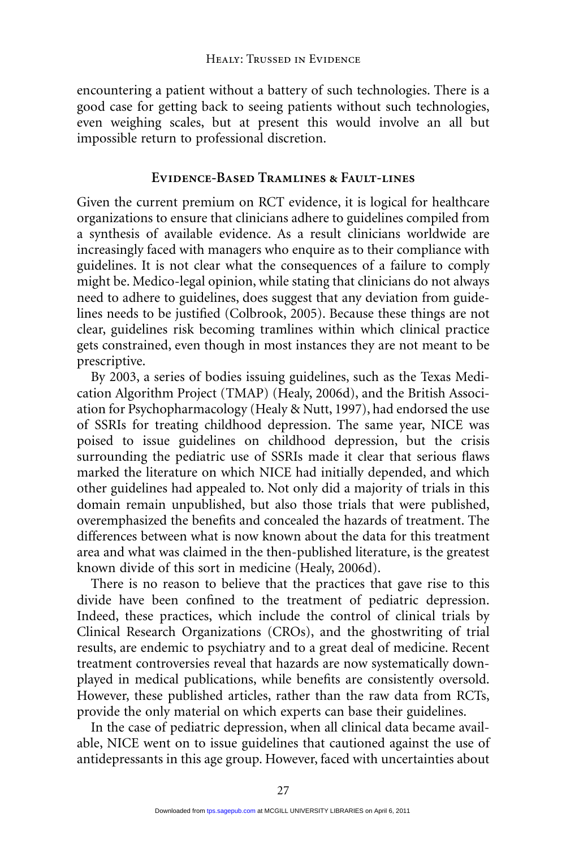encountering a patient without a battery of such technologies. There is a good case for getting back to seeing patients without such technologies, even weighing scales, but at present this would involve an all but impossible return to professional discretion.

#### **Evidence-Based Tramlines & Fault-lines**

Given the current premium on RCT evidence, it is logical for healthcare organizations to ensure that clinicians adhere to guidelines compiled from a synthesis of available evidence. As a result clinicians worldwide are increasingly faced with managers who enquire as to their compliance with guidelines. It is not clear what the consequences of a failure to comply might be. Medico-legal opinion, while stating that clinicians do not always need to adhere to guidelines, does suggest that any deviation from guidelines needs to be justified (Colbrook, 2005). Because these things are not clear, guidelines risk becoming tramlines within which clinical practice gets constrained, even though in most instances they are not meant to be prescriptive.

By 2003, a series of bodies issuing guidelines, such as the Texas Medication Algorithm Project (TMAP) (Healy, 2006d), and the British Association for Psychopharmacology (Healy & Nutt, 1997), had endorsed the use of SSRIs for treating childhood depression. The same year, NICE was poised to issue guidelines on childhood depression, but the crisis surrounding the pediatric use of SSRIs made it clear that serious flaws marked the literature on which NICE had initially depended, and which other guidelines had appealed to. Not only did a majority of trials in this domain remain unpublished, but also those trials that were published, overemphasized the benefits and concealed the hazards of treatment. The differences between what is now known about the data for this treatment area and what was claimed in the then-published literature, is the greatest known divide of this sort in medicine (Healy, 2006d).

There is no reason to believe that the practices that gave rise to this divide have been confined to the treatment of pediatric depression. Indeed, these practices, which include the control of clinical trials by Clinical Research Organizations (CROs), and the ghostwriting of trial results, are endemic to psychiatry and to a great deal of medicine. Recent treatment controversies reveal that hazards are now systematically downplayed in medical publications, while benefits are consistently oversold. However, these published articles, rather than the raw data from RCTs, provide the only material on which experts can base their guidelines.

In the case of pediatric depression, when all clinical data became available, NICE went on to issue guidelines that cautioned against the use of antidepressants in this age group. However, faced with uncertainties about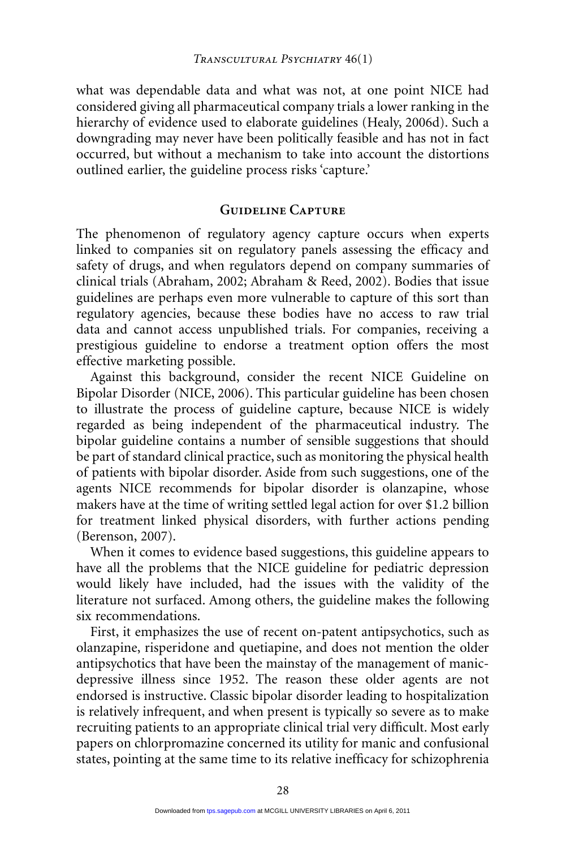what was dependable data and what was not, at one point NICE had considered giving all pharmaceutical company trials a lower ranking in the hierarchy of evidence used to elaborate guidelines (Healy, 2006d). Such a downgrading may never have been politically feasible and has not in fact occurred, but without a mechanism to take into account the distortions outlined earlier, the guideline process risks 'capture.'

### **Guideline Capture**

The phenomenon of regulatory agency capture occurs when experts linked to companies sit on regulatory panels assessing the efficacy and safety of drugs, and when regulators depend on company summaries of clinical trials (Abraham, 2002; Abraham & Reed, 2002). Bodies that issue guidelines are perhaps even more vulnerable to capture of this sort than regulatory agencies, because these bodies have no access to raw trial data and cannot access unpublished trials. For companies, receiving a prestigious guideline to endorse a treatment option offers the most effective marketing possible.

Against this background, consider the recent NICE Guideline on Bipolar Disorder (NICE, 2006). This particular guideline has been chosen to illustrate the process of guideline capture, because NICE is widely regarded as being independent of the pharmaceutical industry. The bipolar guideline contains a number of sensible suggestions that should be part of standard clinical practice, such as monitoring the physical health of patients with bipolar disorder. Aside from such suggestions, one of the agents NICE recommends for bipolar disorder is olanzapine, whose makers have at the time of writing settled legal action for over \$1.2 billion for treatment linked physical disorders, with further actions pending (Berenson, 2007).

When it comes to evidence based suggestions, this guideline appears to have all the problems that the NICE guideline for pediatric depression would likely have included, had the issues with the validity of the literature not surfaced. Among others, the guideline makes the following six recommendations.

First, it emphasizes the use of recent on-patent antipsychotics, such as olanzapine, risperidone and quetiapine, and does not mention the older antipsychotics that have been the mainstay of the management of manicdepressive illness since 1952. The reason these older agents are not endorsed is instructive. Classic bipolar disorder leading to hospitalization is relatively infrequent, and when present is typically so severe as to make recruiting patients to an appropriate clinical trial very difficult. Most early papers on chlorpromazine concerned its utility for manic and confusional states, pointing at the same time to its relative inefficacy for schizophrenia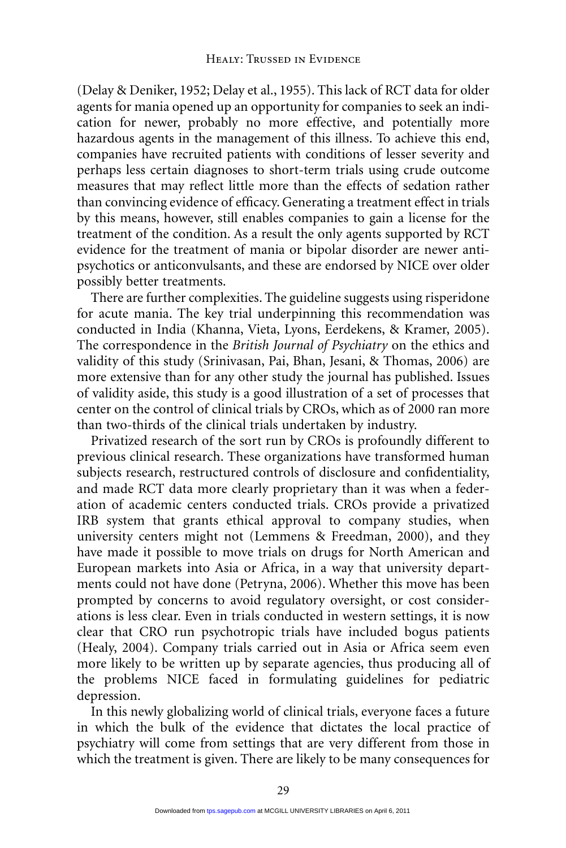(Delay & Deniker, 1952; Delay et al., 1955). This lack of RCT data for older agents for mania opened up an opportunity for companies to seek an indication for newer, probably no more effective, and potentially more hazardous agents in the management of this illness. To achieve this end, companies have recruited patients with conditions of lesser severity and perhaps less certain diagnoses to short-term trials using crude outcome measures that may reflect little more than the effects of sedation rather than convincing evidence of efficacy. Generating a treatment effect in trials by this means, however, still enables companies to gain a license for the treatment of the condition. As a result the only agents supported by RCT evidence for the treatment of mania or bipolar disorder are newer antipsychotics or anticonvulsants, and these are endorsed by NICE over older possibly better treatments.

There are further complexities. The guideline suggests using risperidone for acute mania. The key trial underpinning this recommendation was conducted in India (Khanna, Vieta, Lyons, Eerdekens, & Kramer, 2005). The correspondence in the *British Journal of Psychiatry* on the ethics and validity of this study (Srinivasan, Pai, Bhan, Jesani, & Thomas, 2006) are more extensive than for any other study the journal has published. Issues of validity aside, this study is a good illustration of a set of processes that center on the control of clinical trials by CROs, which as of 2000 ran more than two-thirds of the clinical trials undertaken by industry.

Privatized research of the sort run by CROs is profoundly different to previous clinical research. These organizations have transformed human subjects research, restructured controls of disclosure and confidentiality, and made RCT data more clearly proprietary than it was when a federation of academic centers conducted trials. CROs provide a privatized IRB system that grants ethical approval to company studies, when university centers might not (Lemmens & Freedman, 2000), and they have made it possible to move trials on drugs for North American and European markets into Asia or Africa, in a way that university departments could not have done (Petryna, 2006). Whether this move has been prompted by concerns to avoid regulatory oversight, or cost considerations is less clear. Even in trials conducted in western settings, it is now clear that CRO run psychotropic trials have included bogus patients (Healy, 2004). Company trials carried out in Asia or Africa seem even more likely to be written up by separate agencies, thus producing all of the problems NICE faced in formulating guidelines for pediatric depression.

In this newly globalizing world of clinical trials, everyone faces a future in which the bulk of the evidence that dictates the local practice of psychiatry will come from settings that are very different from those in which the treatment is given. There are likely to be many consequences for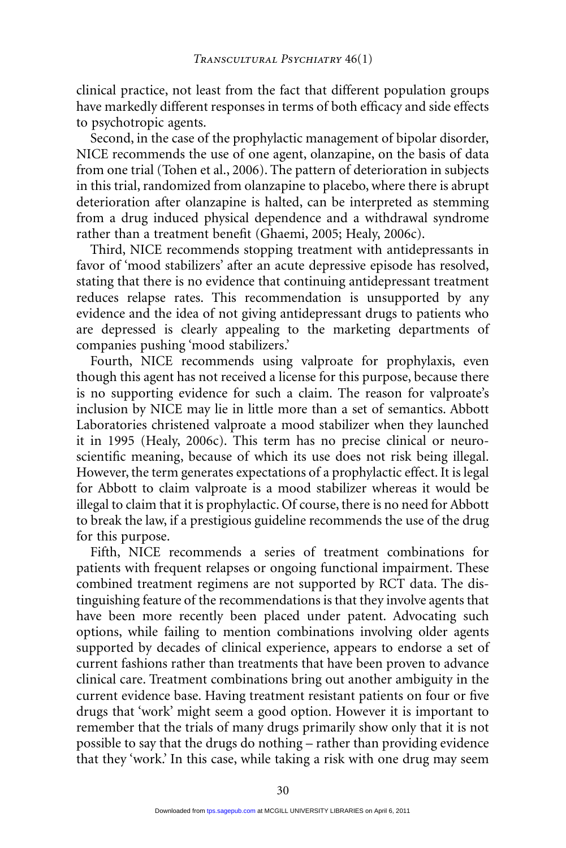clinical practice, not least from the fact that different population groups have markedly different responses in terms of both efficacy and side effects to psychotropic agents.

Second, in the case of the prophylactic management of bipolar disorder, NICE recommends the use of one agent, olanzapine, on the basis of data from one trial (Tohen et al., 2006). The pattern of deterioration in subjects in this trial, randomized from olanzapine to placebo, where there is abrupt deterioration after olanzapine is halted, can be interpreted as stemming from a drug induced physical dependence and a withdrawal syndrome rather than a treatment benefit (Ghaemi, 2005; Healy, 2006c).

Third, NICE recommends stopping treatment with antidepressants in favor of 'mood stabilizers' after an acute depressive episode has resolved, stating that there is no evidence that continuing antidepressant treatment reduces relapse rates. This recommendation is unsupported by any evidence and the idea of not giving antidepressant drugs to patients who are depressed is clearly appealing to the marketing departments of companies pushing 'mood stabilizers.'

Fourth, NICE recommends using valproate for prophylaxis, even though this agent has not received a license for this purpose, because there is no supporting evidence for such a claim. The reason for valproate's inclusion by NICE may lie in little more than a set of semantics. Abbott Laboratories christened valproate a mood stabilizer when they launched it in 1995 (Healy, 2006c). This term has no precise clinical or neuroscientific meaning, because of which its use does not risk being illegal. However, the term generates expectations of a prophylactic effect. It is legal for Abbott to claim valproate is a mood stabilizer whereas it would be illegal to claim that it is prophylactic. Of course, there is no need for Abbott to break the law, if a prestigious guideline recommends the use of the drug for this purpose.

Fifth, NICE recommends a series of treatment combinations for patients with frequent relapses or ongoing functional impairment. These combined treatment regimens are not supported by RCT data. The distinguishing feature of the recommendations is that they involve agents that have been more recently been placed under patent. Advocating such options, while failing to mention combinations involving older agents supported by decades of clinical experience, appears to endorse a set of current fashions rather than treatments that have been proven to advance clinical care. Treatment combinations bring out another ambiguity in the current evidence base. Having treatment resistant patients on four or five drugs that 'work' might seem a good option. However it is important to remember that the trials of many drugs primarily show only that it is not possible to say that the drugs do nothing – rather than providing evidence that they 'work.' In this case, while taking a risk with one drug may seem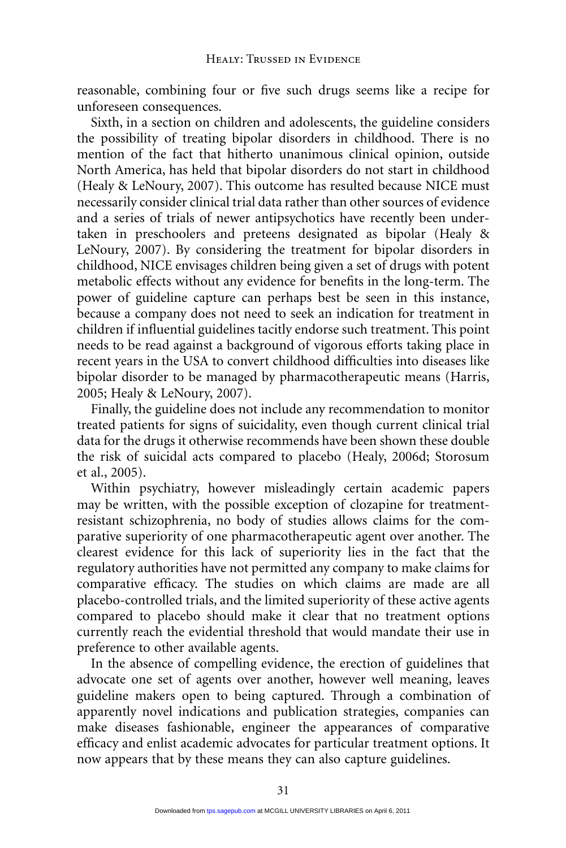reasonable, combining four or five such drugs seems like a recipe for unforeseen consequences.

Sixth, in a section on children and adolescents, the guideline considers the possibility of treating bipolar disorders in childhood. There is no mention of the fact that hitherto unanimous clinical opinion, outside North America, has held that bipolar disorders do not start in childhood (Healy & LeNoury, 2007). This outcome has resulted because NICE must necessarily consider clinical trial data rather than other sources of evidence and a series of trials of newer antipsychotics have recently been undertaken in preschoolers and preteens designated as bipolar (Healy & LeNoury, 2007). By considering the treatment for bipolar disorders in childhood, NICE envisages children being given a set of drugs with potent metabolic effects without any evidence for benefits in the long-term. The power of guideline capture can perhaps best be seen in this instance, because a company does not need to seek an indication for treatment in children if influential guidelines tacitly endorse such treatment. This point needs to be read against a background of vigorous efforts taking place in recent years in the USA to convert childhood difficulties into diseases like bipolar disorder to be managed by pharmacotherapeutic means (Harris, 2005; Healy & LeNoury, 2007).

Finally, the guideline does not include any recommendation to monitor treated patients for signs of suicidality, even though current clinical trial data for the drugs it otherwise recommends have been shown these double the risk of suicidal acts compared to placebo (Healy, 2006d; Storosum et al., 2005).

Within psychiatry, however misleadingly certain academic papers may be written, with the possible exception of clozapine for treatmentresistant schizophrenia, no body of studies allows claims for the comparative superiority of one pharmacotherapeutic agent over another. The clearest evidence for this lack of superiority lies in the fact that the regulatory authorities have not permitted any company to make claims for comparative efficacy. The studies on which claims are made are all placebo-controlled trials, and the limited superiority of these active agents compared to placebo should make it clear that no treatment options currently reach the evidential threshold that would mandate their use in preference to other available agents.

In the absence of compelling evidence, the erection of guidelines that advocate one set of agents over another, however well meaning, leaves guideline makers open to being captured. Through a combination of apparently novel indications and publication strategies, companies can make diseases fashionable, engineer the appearances of comparative efficacy and enlist academic advocates for particular treatment options. It now appears that by these means they can also capture guidelines.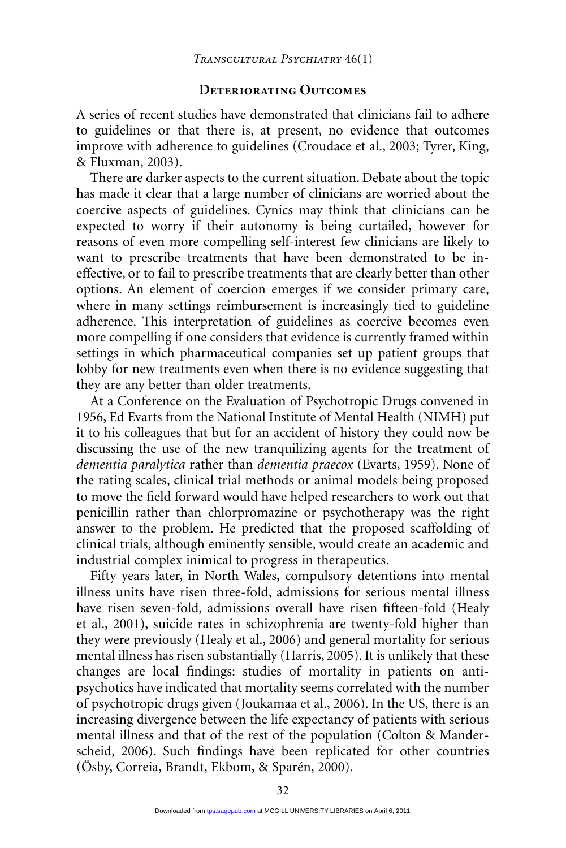#### **Deteriorating Outcomes**

A series of recent studies have demonstrated that clinicians fail to adhere to guidelines or that there is, at present, no evidence that outcomes improve with adherence to guidelines (Croudace et al., 2003; Tyrer, King, & Fluxman, 2003).

There are darker aspects to the current situation. Debate about the topic has made it clear that a large number of clinicians are worried about the coercive aspects of guidelines. Cynics may think that clinicians can be expected to worry if their autonomy is being curtailed, however for reasons of even more compelling self-interest few clinicians are likely to want to prescribe treatments that have been demonstrated to be ineffective, or to fail to prescribe treatments that are clearly better than other options. An element of coercion emerges if we consider primary care, where in many settings reimbursement is increasingly tied to guideline adherence. This interpretation of guidelines as coercive becomes even more compelling if one considers that evidence is currently framed within settings in which pharmaceutical companies set up patient groups that lobby for new treatments even when there is no evidence suggesting that they are any better than older treatments.

At a Conference on the Evaluation of Psychotropic Drugs convened in 1956, Ed Evarts from the National Institute of Mental Health (NIMH) put it to his colleagues that but for an accident of history they could now be discussing the use of the new tranquilizing agents for the treatment of *dementia paralytica* rather than *dementia praecox* (Evarts, 1959). None of the rating scales, clinical trial methods or animal models being proposed to move the field forward would have helped researchers to work out that penicillin rather than chlorpromazine or psychotherapy was the right answer to the problem. He predicted that the proposed scaffolding of clinical trials, although eminently sensible, would create an academic and industrial complex inimical to progress in therapeutics.

Fifty years later, in North Wales, compulsory detentions into mental illness units have risen three-fold, admissions for serious mental illness have risen seven-fold, admissions overall have risen fifteen-fold (Healy et al., 2001), suicide rates in schizophrenia are twenty-fold higher than they were previously (Healy et al., 2006) and general mortality for serious mental illness has risen substantially (Harris, 2005). It is unlikely that these changes are local findings: studies of mortality in patients on antipsychotics have indicated that mortality seems correlated with the number of psychotropic drugs given (Joukamaa et al., 2006). In the US, there is an increasing divergence between the life expectancy of patients with serious mental illness and that of the rest of the population (Colton & Manderscheid, 2006). Such findings have been replicated for other countries (Ösby, Correia, Brandt, Ekbom, & Sparén, 2000).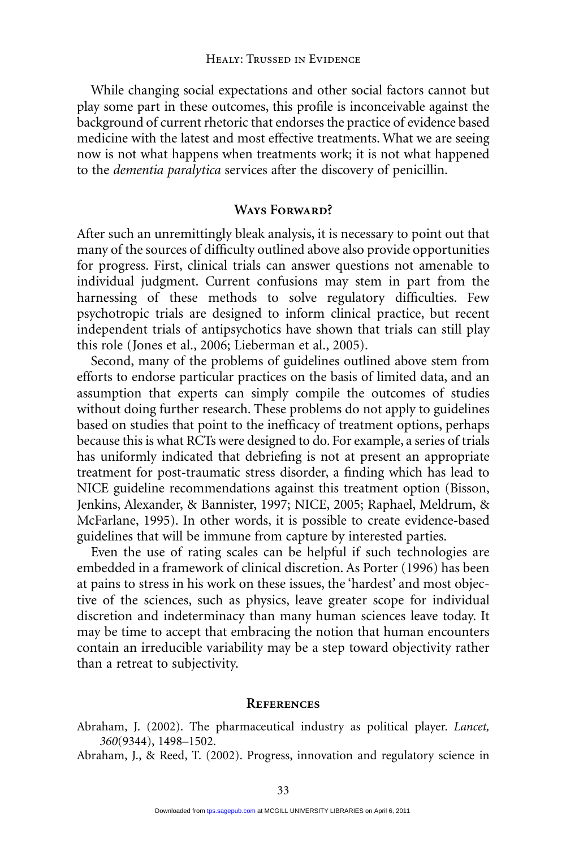While changing social expectations and other social factors cannot but play some part in these outcomes, this profile is inconceivable against the background of current rhetoric that endorses the practice of evidence based medicine with the latest and most effective treatments. What we are seeing now is not what happens when treatments work; it is not what happened to the *dementia paralytica* services after the discovery of penicillin.

#### **Ways Forward?**

After such an unremittingly bleak analysis, it is necessary to point out that many of the sources of difficulty outlined above also provide opportunities for progress. First, clinical trials can answer questions not amenable to individual judgment. Current confusions may stem in part from the harnessing of these methods to solve regulatory difficulties. Few psychotropic trials are designed to inform clinical practice, but recent independent trials of antipsychotics have shown that trials can still play this role (Jones et al., 2006; Lieberman et al., 2005).

Second, many of the problems of guidelines outlined above stem from efforts to endorse particular practices on the basis of limited data, and an assumption that experts can simply compile the outcomes of studies without doing further research. These problems do not apply to guidelines based on studies that point to the inefficacy of treatment options, perhaps because this is what RCTs were designed to do. For example, a series of trials has uniformly indicated that debriefing is not at present an appropriate treatment for post-traumatic stress disorder, a finding which has lead to NICE guideline recommendations against this treatment option (Bisson, Jenkins, Alexander, & Bannister, 1997; NICE, 2005; Raphael, Meldrum, & McFarlane, 1995). In other words, it is possible to create evidence-based guidelines that will be immune from capture by interested parties.

Even the use of rating scales can be helpful if such technologies are embedded in a framework of clinical discretion. As Porter (1996) has been at pains to stress in his work on these issues, the 'hardest' and most objective of the sciences, such as physics, leave greater scope for individual discretion and indeterminacy than many human sciences leave today. It may be time to accept that embracing the notion that human encounters contain an irreducible variability may be a step toward objectivity rather than a retreat to subjectivity.

#### **References**

- Abraham, J. (2002). The pharmaceutical industry as political player. *Lancet, 360*(9344), 1498–1502.
- Abraham, J., & Reed, T. (2002). Progress, innovation and regulatory science in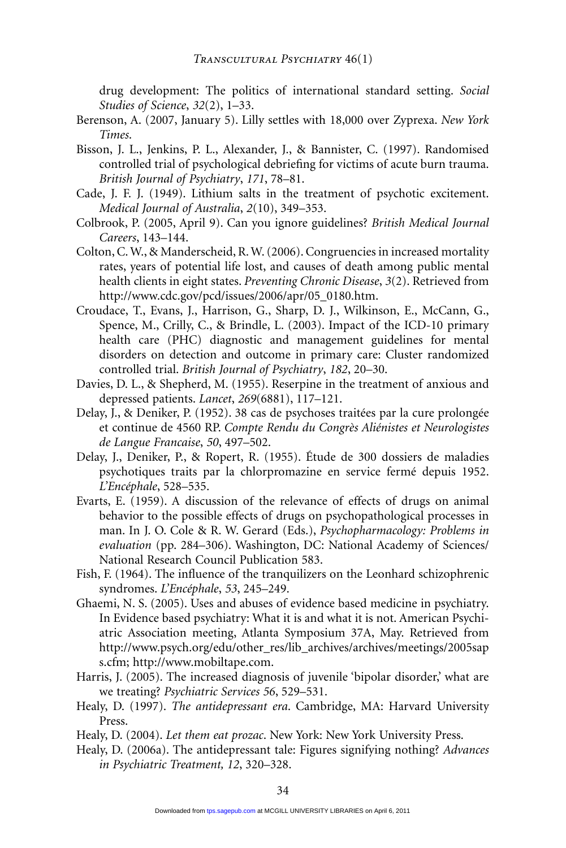drug development: The politics of international standard setting. *Social Studies of Science*, *32*(2), 1–33.

- Berenson, A. (2007, January 5). Lilly settles with 18,000 over Zyprexa. *New York Times*.
- Bisson, J. L., Jenkins, P. L., Alexander, J., & Bannister, C. (1997). Randomised controlled trial of psychological debriefing for victims of acute burn trauma. *British Journal of Psychiatry*, *171*, 78–81.
- Cade, J. F. J. (1949). Lithium salts in the treatment of psychotic excitement. *Medical Journal of Australia*, *2*(10), 349–353.
- Colbrook, P. (2005, April 9). Can you ignore guidelines? *British Medical Journal Careers*, 143–144.
- Colton, C. W., & Manderscheid, R. W. (2006). Congruencies in increased mortality rates, years of potential life lost, and causes of death among public mental health clients in eight states. *Preventing Chronic Disease*, *3*(2). Retrieved from http://www.cdc.gov/pcd/issues/2006/apr/05\_0180.htm.
- Croudace, T., Evans, J., Harrison, G., Sharp, D. J., Wilkinson, E., McCann, G., Spence, M., Crilly, C., & Brindle, L. (2003). Impact of the ICD-10 primary health care (PHC) diagnostic and management guidelines for mental disorders on detection and outcome in primary care: Cluster randomized controlled trial. *British Journal of Psychiatry*, *182*, 20–30.
- Davies, D. L., & Shepherd, M. (1955). Reserpine in the treatment of anxious and depressed patients. *Lancet*, *269*(6881), 117–121.
- Delay, J., & Deniker, P. (1952). 38 cas de psychoses traitées par la cure prolongée et continue de 4560 RP. *Compte Rendu du Congrès Aliénistes et Neurologistes de Langue Francaise*, *50*, 497–502.
- Delay, J., Deniker, P., & Ropert, R. (1955). Étude de 300 dossiers de maladies psychotiques traits par la chlorpromazine en service fermé depuis 1952. *L'Encéphale*, 528–535.
- Evarts, E. (1959). A discussion of the relevance of effects of drugs on animal behavior to the possible effects of drugs on psychopathological processes in man. In J. O. Cole & R. W. Gerard (Eds.), *Psychopharmacology: Problems in evaluation* (pp. 284–306). Washington, DC: National Academy of Sciences/ National Research Council Publication 583.
- Fish, F. (1964). The influence of the tranquilizers on the Leonhard schizophrenic syndromes. *L'Encéphale*, *53*, 245–249.
- Ghaemi, N. S. (2005). Uses and abuses of evidence based medicine in psychiatry. In Evidence based psychiatry: What it is and what it is not. American Psychiatric Association meeting, Atlanta Symposium 37A, May. Retrieved from http://www.psych.org/edu/other\_res/lib\_archives/archives/meetings/2005sap s.cfm; http://www.mobiltape.com.
- Harris, J. (2005). The increased diagnosis of juvenile 'bipolar disorder,' what are we treating? *Psychiatric Services 56*, 529–531.
- Healy, D. (1997). *The antidepressant era*. Cambridge, MA: Harvard University Press.
- Healy, D. (2004). *Let them eat prozac*. New York: New York University Press.
- Healy, D. (2006a). The antidepressant tale: Figures signifying nothing? *Advances in Psychiatric Treatment, 12*, 320–328.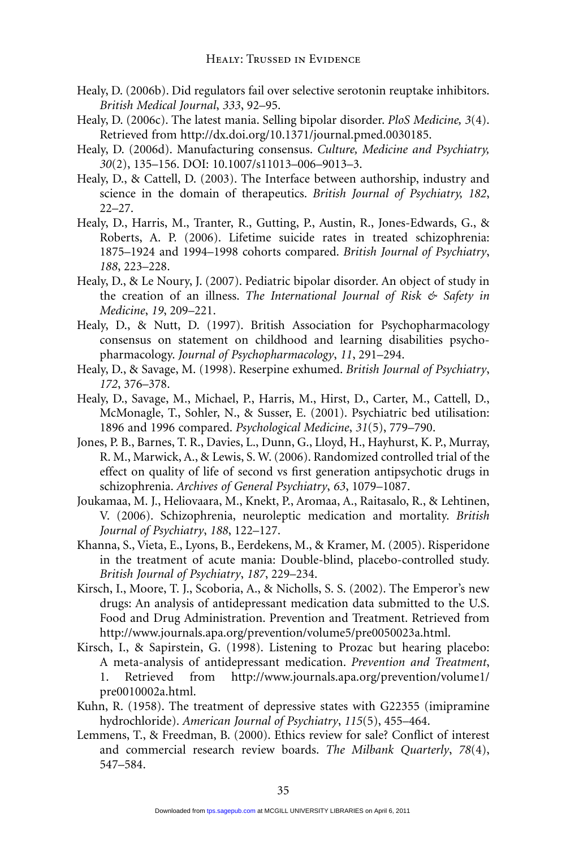- Healy, D. (2006b). Did regulators fail over selective serotonin reuptake inhibitors. *British Medical Journal*, *333*, 92–95.
- Healy, D. (2006c). The latest mania. Selling bipolar disorder. *PloS Medicine, 3*(4). Retrieved from http://dx.doi.org/10.1371/journal.pmed.0030185.
- Healy, D. (2006d). Manufacturing consensus. *Culture, Medicine and Psychiatry, 30*(2), 135–156. DOI: 10.1007/s11013–006–9013–3.
- Healy, D., & Cattell, D. (2003). The Interface between authorship, industry and science in the domain of therapeutics. *British Journal of Psychiatry, 182*, 22–27.
- Healy, D., Harris, M., Tranter, R., Gutting, P., Austin, R., Jones-Edwards, G., & Roberts, A. P. (2006). Lifetime suicide rates in treated schizophrenia: 1875–1924 and 1994–1998 cohorts compared. *British Journal of Psychiatry*, *188*, 223–228.
- Healy, D., & Le Noury, J. (2007). Pediatric bipolar disorder. An object of study in the creation of an illness. *The International Journal of Risk & Safety in Medicine*, *19*, 209–221.
- Healy, D., & Nutt, D. (1997). British Association for Psychopharmacology consensus on statement on childhood and learning disabilities psychopharmacology. *Journal of Psychopharmacology*, *11*, 291–294.
- Healy, D., & Savage, M. (1998). Reserpine exhumed. *British Journal of Psychiatry*, *172*, 376–378.
- Healy, D., Savage, M., Michael, P., Harris, M., Hirst, D., Carter, M., Cattell, D., McMonagle, T., Sohler, N., & Susser, E. (2001). Psychiatric bed utilisation: 1896 and 1996 compared. *Psychological Medicine*, *31*(5), 779–790.
- Jones, P. B., Barnes, T. R., Davies, L., Dunn, G., Lloyd, H., Hayhurst, K. P., Murray, R. M., Marwick, A., & Lewis, S. W. (2006). Randomized controlled trial of the effect on quality of life of second vs first generation antipsychotic drugs in schizophrenia. *Archives of General Psychiatry*, *63*, 1079–1087.
- Joukamaa, M. J., Heliovaara, M., Knekt, P., Aromaa, A., Raitasalo, R., & Lehtinen, V. (2006). Schizophrenia, neuroleptic medication and mortality. *British Journal of Psychiatry*, *188*, 122–127.
- Khanna, S., Vieta, E., Lyons, B., Eerdekens, M., & Kramer, M. (2005). Risperidone in the treatment of acute mania: Double-blind, placebo-controlled study. *British Journal of Psychiatry*, *187*, 229–234.
- Kirsch, I., Moore, T. J., Scoboria, A., & Nicholls, S. S. (2002). The Emperor's new drugs: An analysis of antidepressant medication data submitted to the U.S. Food and Drug Administration. Prevention and Treatment. Retrieved from http://www.journals.apa.org/prevention/volume5/pre0050023a.html.
- Kirsch, I., & Sapirstein, G. (1998). Listening to Prozac but hearing placebo: A meta-analysis of antidepressant medication. *Prevention and Treatment*, 1. Retrieved from http://www.journals.apa.org/prevention/volume1/ pre0010002a.html.
- Kuhn, R. (1958). The treatment of depressive states with G22355 (imipramine hydrochloride). *American Journal of Psychiatry*, *115*(5), 455–464.
- Lemmens, T., & Freedman, B. (2000). Ethics review for sale? Conflict of interest and commercial research review boards. *The Milbank Quarterly*, *78*(4), 547–584.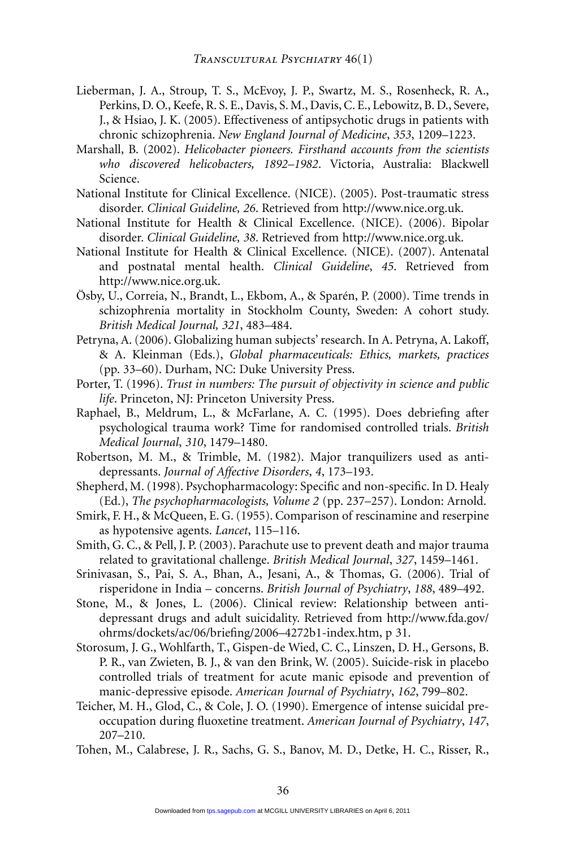- Lieberman, J. A., Stroup, T. S., McEvoy, J. P., Swartz, M. S., Rosenheck, R. A., Perkins, D. O., Keefe, R. S. E., Davis, S. M., Davis, C. E., Lebowitz, B. D., Severe, J., & Hsiao, J. K. (2005). Effectiveness of antipsychotic drugs in patients with chronic schizophrenia. *New England Journal of Medicine*, *353*, 1209–1223.
- Marshall, B. (2002). *Helicobacter pioneers. Firsthand accounts from the scientists who discovered helicobacters, 1892–1982*. Victoria, Australia: Blackwell Science.
- National Institute for Clinical Excellence. (NICE). (2005). Post-traumatic stress disorder. *Clinical Guideline, 26*. Retrieved from http://www.nice.org.uk.
- National Institute for Health & Clinical Excellence. (NICE). (2006). Bipolar disorder. *Clinical Guideline, 38*. Retrieved from http://www.nice.org.uk.
- National Institute for Health & Clinical Excellence. (NICE). (2007). Antenatal and postnatal mental health. *Clinical Guideline*, *45*. Retrieved from http://www.nice.org.uk.
- Ösby, U., Correia, N., Brandt, L., Ekbom, A., & Sparén, P. (2000). Time trends in schizophrenia mortality in Stockholm County, Sweden: A cohort study. *British Medical Journal, 321*, 483–484.
- Petryna, A. (2006). Globalizing human subjects' research. In A. Petryna, A. Lakoff, & A. Kleinman (Eds.), *Global pharmaceuticals: Ethics, markets, practices* (pp. 33–60). Durham, NC: Duke University Press.
- Porter, T. (1996). *Trust in numbers: The pursuit of objectivity in science and public life*. Princeton, NJ: Princeton University Press.
- Raphael, B., Meldrum, L., & McFarlane, A. C. (1995). Does debriefing after psychological trauma work? Time for randomised controlled trials. *British Medical Journal*, *310*, 1479–1480.
- Robertson, M. M., & Trimble, M. (1982). Major tranquilizers used as antidepressants. *Journal of Affective Disorders*, *4*, 173–193.
- Shepherd, M. (1998). Psychopharmacology: Specific and non-specific. In D. Healy (Ed.), *The psychopharmacologists, Volume 2* (pp. 237–257). London: Arnold.
- Smirk, F. H., & McQueen, E. G. (1955). Comparison of rescinamine and reserpine as hypotensive agents. *Lancet*, 115–116.
- Smith, G. C., & Pell, J. P. (2003). Parachute use to prevent death and major trauma related to gravitational challenge. *British Medical Journal*, *327*, 1459–1461.
- Srinivasan, S., Pai, S. A., Bhan, A., Jesani, A., & Thomas, G. (2006). Trial of risperidone in India – concerns. *British Journal of Psychiatry*, *188*, 489–492.
- Stone, M., & Jones, L. (2006). Clinical review: Relationship between antidepressant drugs and adult suicidality. Retrieved from http://www.fda.gov/ ohrms/dockets/ac/06/briefing/2006–4272b1-index.htm, p 31.
- Storosum, J. G., Wohlfarth, T., Gispen-de Wied, C. C., Linszen, D. H., Gersons, B. P. R., van Zwieten, B. J., & van den Brink, W. (2005). Suicide-risk in placebo controlled trials of treatment for acute manic episode and prevention of manic-depressive episode. *American Journal of Psychiatry*, *162*, 799–802.
- Teicher, M. H., Glod, C., & Cole, J. O. (1990). Emergence of intense suicidal preoccupation during fluoxetine treatment. *American Journal of Psychiatry*, *147*, 207–210.
- Tohen, M., Calabrese, J. R., Sachs, G. S., Banov, M. D., Detke, H. C., Risser, R.,